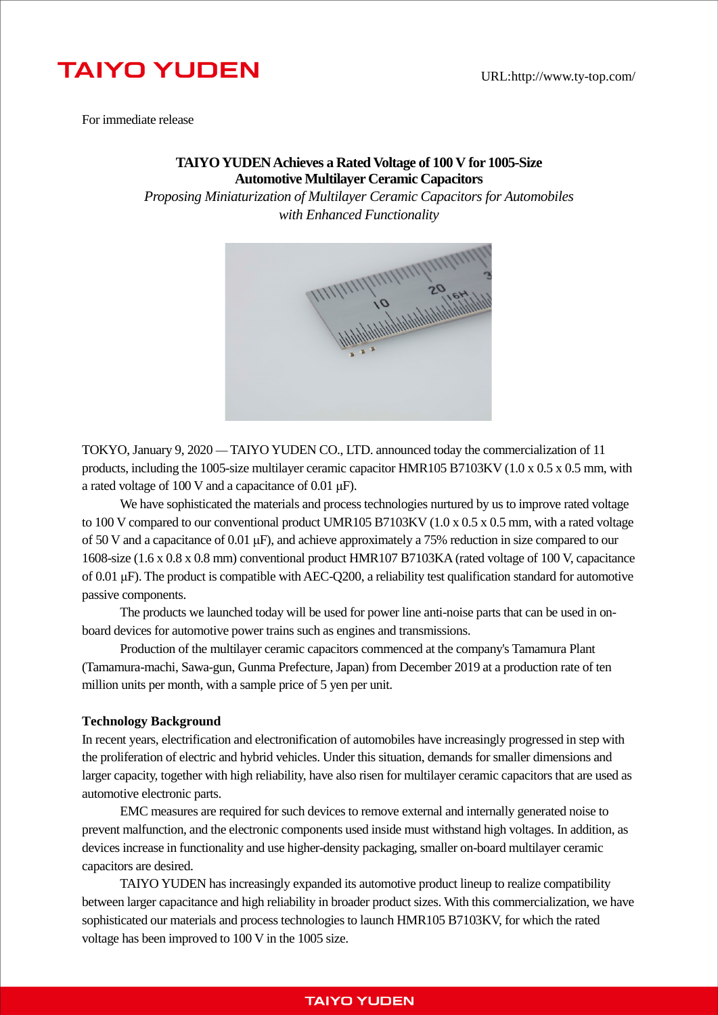#### URL:http://www.ty-top.com/

# **TAIYO YUDEN**

For immediate release

## **TAIYO YUDEN Achieves a Rated Voltage of 100 V for 1005-Size Automotive Multilayer Ceramic Capacitors**

*Proposing Miniaturization of Multilayer Ceramic Capacitors for Automobiles with Enhanced Functionality*



TOKYO, January 9, 2020 — TAIYO YUDEN CO., LTD. announced today the commercialization of 11 products, including the 1005-size multilayer ceramic capacitor HMR105 B7103KV (1.0 x 0.5 x 0.5 mm, with a rated voltage of 100 V and a capacitance of 0.01 μF).

We have sophisticated the materials and process technologies nurtured by us to improve rated voltage to 100 V compared to our conventional product UMR105 B7103KV (1.0 x 0.5 x 0.5 mm, with a rated voltage of 50 V and a capacitance of 0.01 μF), and achieve approximately a 75% reduction in size compared to our 1608-size (1.6 x 0.8 x 0.8 mm) conventional product HMR107 B7103KA (rated voltage of 100 V, capacitance of 0.01 μF). The product is compatible with AEC-Q200, a reliability test qualification standard for automotive passive components.

The products we launched today will be used for power line anti-noise parts that can be used in onboard devices for automotive power trains such as engines and transmissions.

Production of the multilayer ceramic capacitors commenced at the company's Tamamura Plant (Tamamura-machi, Sawa-gun, Gunma Prefecture, Japan) from December 2019 at a production rate of ten million units per month, with a sample price of 5 yen per unit.

#### **Technology Background**

In recent years, electrification and electronification of automobiles have increasingly progressed in step with the proliferation of electric and hybrid vehicles. Under this situation, demands for smaller dimensions and larger capacity, together with high reliability, have also risen for multilayer ceramic capacitors that are used as automotive electronic parts.

EMC measures are required for such devices to remove external and internally generated noise to prevent malfunction, and the electronic components used inside must withstand high voltages. In addition, as devices increase in functionality and use higher-density packaging, smaller on-board multilayer ceramic capacitors are desired.

TAIYO YUDEN has increasingly expanded its automotive product lineup to realize compatibility between larger capacitance and high reliability in broader product sizes. With this commercialization, we have sophisticated our materials and process technologies to launch HMR105 B7103KV, for which the rated voltage has been improved to 100 V in the 1005 size.

### **TAIYO YUDEN**